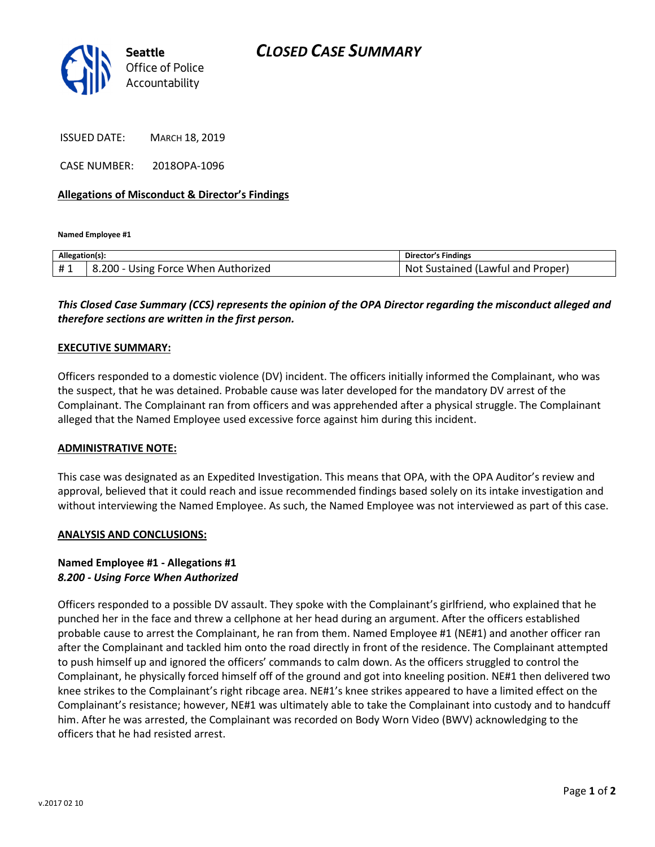

ISSUED DATE: MARCH 18, 2019

CASE NUMBER: 2018OPA-1096

### Allegations of Misconduct & Director's Findings

Named Employee #1

| Allegation(s): |                                     | Director's Findings               |
|----------------|-------------------------------------|-----------------------------------|
| #1             | 8.200 - Using Force When Authorized | Not Sustained (Lawful and Proper) |
|                |                                     |                                   |

# This Closed Case Summary (CCS) represents the opinion of the OPA Director regarding the misconduct alleged and therefore sections are written in the first person.

#### EXECUTIVE SUMMARY:

Officers responded to a domestic violence (DV) incident. The officers initially informed the Complainant, who was the suspect, that he was detained. Probable cause was later developed for the mandatory DV arrest of the Complainant. The Complainant ran from officers and was apprehended after a physical struggle. The Complainant alleged that the Named Employee used excessive force against him during this incident.

#### ADMINISTRATIVE NOTE:

This case was designated as an Expedited Investigation. This means that OPA, with the OPA Auditor's review and approval, believed that it could reach and issue recommended findings based solely on its intake investigation and without interviewing the Named Employee. As such, the Named Employee was not interviewed as part of this case.

## ANALYSIS AND CONCLUSIONS:

## Named Employee #1 - Allegations #1 8.200 - Using Force When Authorized

Officers responded to a possible DV assault. They spoke with the Complainant's girlfriend, who explained that he punched her in the face and threw a cellphone at her head during an argument. After the officers established probable cause to arrest the Complainant, he ran from them. Named Employee #1 (NE#1) and another officer ran after the Complainant and tackled him onto the road directly in front of the residence. The Complainant attempted to push himself up and ignored the officers' commands to calm down. As the officers struggled to control the Complainant, he physically forced himself off of the ground and got into kneeling position. NE#1 then delivered two knee strikes to the Complainant's right ribcage area. NE#1's knee strikes appeared to have a limited effect on the Complainant's resistance; however, NE#1 was ultimately able to take the Complainant into custody and to handcuff him. After he was arrested, the Complainant was recorded on Body Worn Video (BWV) acknowledging to the officers that he had resisted arrest.